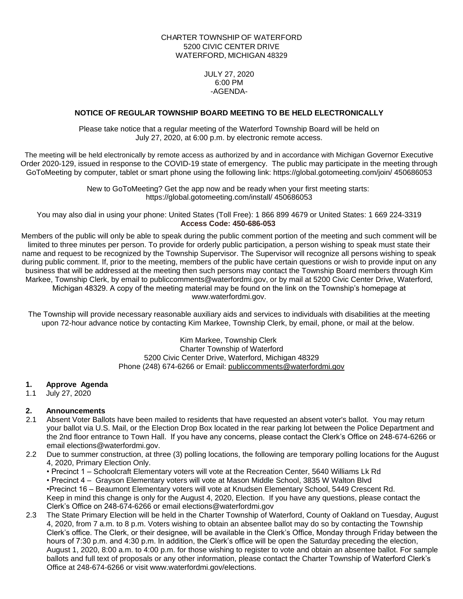#### CHARTER TOWNSHIP OF WATERFORD 5200 CIVIC CENTER DRIVE WATERFORD, MICHIGAN 48329

JULY 27, 2020 6:00 PM -AGENDA-

#### **NOTICE OF REGULAR TOWNSHIP BOARD MEETING TO BE HELD ELECTRONICALLY**

Please take notice that a regular meeting of the Waterford Township Board will be held on July 27, 2020, at 6:00 p.m. by electronic remote access.

The meeting will be held electronically by remote access as authorized by and in accordance with Michigan Governor Executive Order 2020-129, issued in response to the COVID-19 state of emergency. The public may participate in the meeting through GoToMeeting by computer, tablet or smart phone using the following link: https://global.gotomeeting.com/join/ [450686053](https://global.gotomeeting.com/install/450686053)

> New to GoToMeeting? Get the app now and be ready when your first meeting starts: https://global.gotomeeting.com/install/ [450686053](https://global.gotomeeting.com/install/450686053)

You may also dial in using your phone: United States (Toll Free): 1 866 899 4679 or United States: 1 669 224-3319 **Access Code: 450-686-053**

Members of the public will only be able to speak during the public comment portion of the meeting and such comment will be limited to three minutes per person. To provide for orderly public participation, a person wishing to speak must state their name and request to be recognized by the Township Supervisor. The Supervisor will recognize all persons wishing to speak during public comment. If, prior to the meeting, members of the public have certain questions or wish to provide input on any business that will be addressed at the meeting then such persons may contact the Township Board members through Kim Markee. Township Clerk, by email to publiccomments@waterfordmi.gov, or by mail at 5200 Civic Center Drive, Waterford, Michigan 48329. A copy of the meeting material may be found on the link on the Township's homepage at www.waterfordmi.gov.

The Township will provide necessary reasonable auxiliary aids and services to individuals with disabilities at the meeting upon 72-hour advance notice by contacting Kim Markee, Township Clerk, by email, phone, or mail at the below.

> Kim Markee, Township Clerk Charter Township of Waterford 5200 Civic Center Drive, Waterford, Michigan 48329 Phone (248) 674-6266 or Email: [publiccomments@waterfordmi.gov](mailto:publiccomments@waterfordmi.gov)

#### **1. Approve Agenda**

1.1 July 27, 2020

# **2. Announcements**

- 2.1 Absent Voter Ballots have been mailed to residents that have requested an absent voter's ballot. You may return your ballot via U.S. Mail, or the Election Drop Box located in the rear parking lot between the Police Department and the 2nd floor entrance to Town Hall. If you have any concerns, please contact the Clerk's Office on 248-674-6266 or email [elections@waterfordmi.gov.](mailto:elections@waterfordmi.gov)
- 2.2 Due to summer construction, at three (3) polling locations, the following are temporary polling locations for the August 4, 2020, Primary Election Only.
	- Precinct 1 Schoolcraft Elementary voters will vote at the Recreation Center, 5640 Williams Lk Rd

• Precinct 4 – Grayson Elementary voters will vote at Mason Middle School, 3835 W Walton Blvd •Precinct 16 – Beaumont Elementary voters will vote at Knudsen Elementary School, 5449 Crescent Rd. Keep in mind this change is only for the August 4, 2020, Election. If you have any questions, please contact the Clerk's Office on 248-674-6266 or email [elections@waterfordmi.gov](mailto:elections@waterfordmi.gov)

2.3 The State Primary Election will be held in the Charter Township of Waterford, County of Oakland on Tuesday, August 4, 2020, from 7 a.m. to 8 p.m. Voters wishing to obtain an absentee ballot may do so by contacting the Township Clerk's office. The Clerk, or their designee, will be available in the Clerk's Office, Monday through Friday between the hours of 7:30 p.m. and 4:30 p.m. In addition, the Clerk's office will be open the Saturday preceding the election, August 1, 2020, 8:00 a.m. to 4:00 p.m. for those wishing to register to vote and obtain an absentee ballot. For sample ballots and full text of proposals or any other information, please contact the Charter Township of Waterford Clerk's Office at 248-674-6266 or visit [www.waterfordmi.gov/elections.](http://www.waterfordmi.gov/elections)